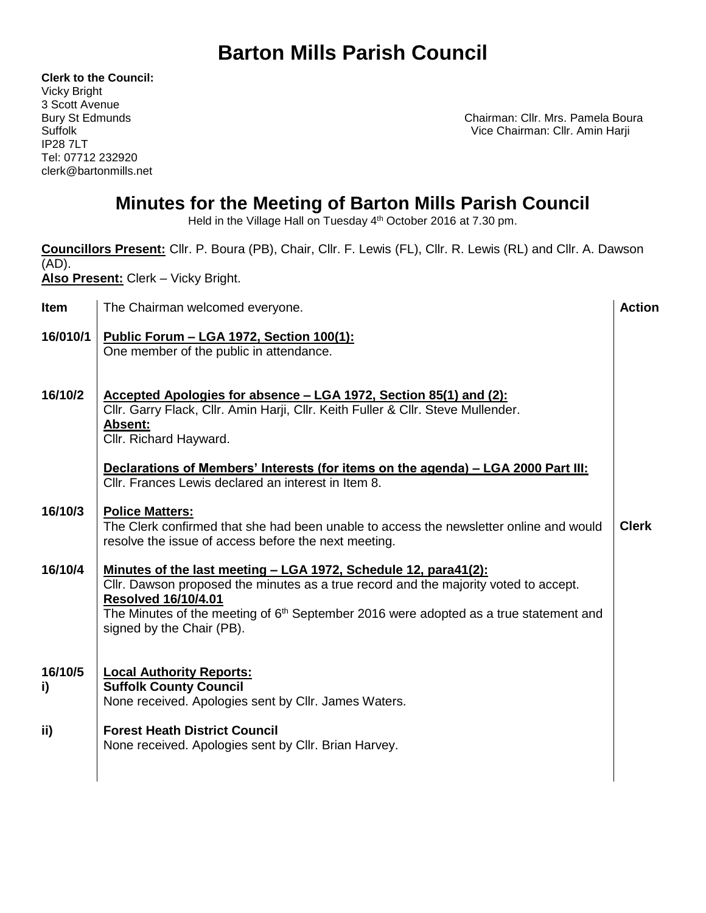**Clerk to the Council:** Vicky Bright 3 Scott Avenue IP28 7LT Tel: 07712 232920 clerk@bartonmills.net

Bury St Edmunds **Chairman: Cllr. Mrs. Pamela Boura** Suffolk Vice Chairman: Cllr. Amin Harji

#### **Minutes for the Meeting of Barton Mills Parish Council**

Held in the Village Hall on Tuesday 4<sup>th</sup> October 2016 at 7.30 pm.

| Councillors Present: Cllr. P. Boura (PB), Chair, Cllr. F. Lewis (FL), Cllr. R. Lewis (RL) and Cllr. A. Dawson<br>$(AD)$ .<br>Also Present: Clerk - Vicky Bright. |                                                                                                                                                                                                                                                                                                                                |               |  |
|------------------------------------------------------------------------------------------------------------------------------------------------------------------|--------------------------------------------------------------------------------------------------------------------------------------------------------------------------------------------------------------------------------------------------------------------------------------------------------------------------------|---------------|--|
| Item                                                                                                                                                             | The Chairman welcomed everyone.                                                                                                                                                                                                                                                                                                | <b>Action</b> |  |
| 16/010/1                                                                                                                                                         | <u> Public Forum - LGA 1972, Section 100(1):</u><br>One member of the public in attendance.                                                                                                                                                                                                                                    |               |  |
| 16/10/2                                                                                                                                                          | Accepted Apologies for absence – LGA 1972, Section 85(1) and (2):<br>Cllr. Garry Flack, Cllr. Amin Harji, Cllr. Keith Fuller & Cllr. Steve Mullender.<br><b>Absent:</b><br>Cllr. Richard Hayward.                                                                                                                              |               |  |
|                                                                                                                                                                  | Declarations of Members' Interests (for items on the agenda) - LGA 2000 Part III:<br>Cllr. Frances Lewis declared an interest in Item 8.                                                                                                                                                                                       |               |  |
| 16/10/3                                                                                                                                                          | <b>Police Matters:</b><br>The Clerk confirmed that she had been unable to access the newsletter online and would<br>resolve the issue of access before the next meeting.                                                                                                                                                       | <b>Clerk</b>  |  |
| 16/10/4                                                                                                                                                          | <u>Minutes of the last meeting - LGA 1972, Schedule 12, para41(2):</u><br>Cllr. Dawson proposed the minutes as a true record and the majority voted to accept.<br><b>Resolved 16/10/4.01</b><br>The Minutes of the meeting of 6 <sup>th</sup> September 2016 were adopted as a true statement and<br>signed by the Chair (PB). |               |  |
| 16/10/5<br>i)                                                                                                                                                    | <b>Local Authority Reports:</b><br><b>Suffolk County Council</b><br>None received. Apologies sent by Cllr. James Waters.                                                                                                                                                                                                       |               |  |
| ii)                                                                                                                                                              | <b>Forest Heath District Council</b><br>None received. Apologies sent by Cllr. Brian Harvey.                                                                                                                                                                                                                                   |               |  |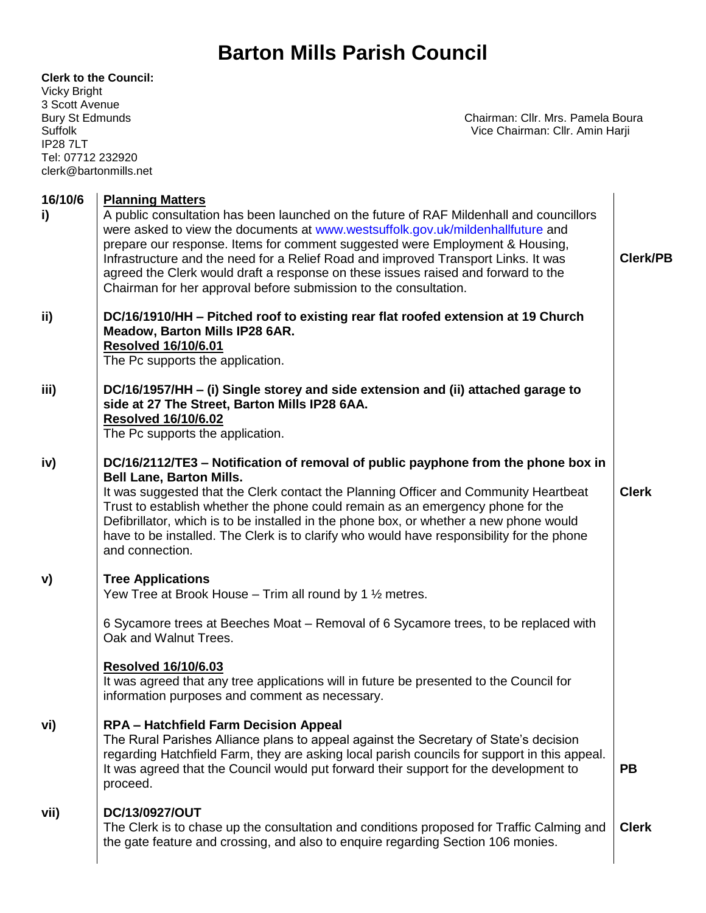| <b>Clerk to the Council:</b><br><b>Vicky Bright</b><br>3 Scott Avenue<br><b>Bury St Edmunds</b><br><b>Suffolk</b><br><b>IP287LT</b><br>Tel: 07712 232920<br>clerk@bartonmills.net | Chairman: Cllr. Mrs. Pamela Boura<br>Vice Chairman: Cllr. Amin Harji                                                                                                                                                                                                                                                                                                                                                                                                                                                                 |                 |
|-----------------------------------------------------------------------------------------------------------------------------------------------------------------------------------|--------------------------------------------------------------------------------------------------------------------------------------------------------------------------------------------------------------------------------------------------------------------------------------------------------------------------------------------------------------------------------------------------------------------------------------------------------------------------------------------------------------------------------------|-----------------|
| 16/10/6<br>i)                                                                                                                                                                     | <b>Planning Matters</b><br>A public consultation has been launched on the future of RAF Mildenhall and councillors<br>were asked to view the documents at www.westsuffolk.gov.uk/mildenhallfuture and<br>prepare our response. Items for comment suggested were Employment & Housing,<br>Infrastructure and the need for a Relief Road and improved Transport Links. It was<br>agreed the Clerk would draft a response on these issues raised and forward to the<br>Chairman for her approval before submission to the consultation. | <b>Clerk/PB</b> |
| ii)                                                                                                                                                                               | DC/16/1910/HH - Pitched roof to existing rear flat roofed extension at 19 Church<br>Meadow, Barton Mills IP28 6AR.<br><b>Resolved 16/10/6.01</b><br>The Pc supports the application.                                                                                                                                                                                                                                                                                                                                                 |                 |
| iii)                                                                                                                                                                              | DC/16/1957/HH – (i) Single storey and side extension and (ii) attached garage to<br>side at 27 The Street, Barton Mills IP28 6AA.<br><b>Resolved 16/10/6.02</b><br>The Pc supports the application.                                                                                                                                                                                                                                                                                                                                  |                 |
| iv)                                                                                                                                                                               | DC/16/2112/TE3 – Notification of removal of public payphone from the phone box in<br><b>Bell Lane, Barton Mills.</b><br>It was suggested that the Clerk contact the Planning Officer and Community Heartbeat<br>Trust to establish whether the phone could remain as an emergency phone for the<br>Defibrillator, which is to be installed in the phone box, or whether a new phone would<br>have to be installed. The Clerk is to clarify who would have responsibility for the phone<br>and connection.                            | <b>Clerk</b>    |
| V)                                                                                                                                                                                | <b>Tree Applications</b><br>Yew Tree at Brook House $-$ Trim all round by 1 $\frac{1}{2}$ metres.                                                                                                                                                                                                                                                                                                                                                                                                                                    |                 |
|                                                                                                                                                                                   | 6 Sycamore trees at Beeches Moat - Removal of 6 Sycamore trees, to be replaced with<br>Oak and Walnut Trees.                                                                                                                                                                                                                                                                                                                                                                                                                         |                 |
|                                                                                                                                                                                   | <b>Resolved 16/10/6.03</b><br>It was agreed that any tree applications will in future be presented to the Council for<br>information purposes and comment as necessary.                                                                                                                                                                                                                                                                                                                                                              |                 |
| vi)                                                                                                                                                                               | <b>RPA - Hatchfield Farm Decision Appeal</b><br>The Rural Parishes Alliance plans to appeal against the Secretary of State's decision<br>regarding Hatchfield Farm, they are asking local parish councils for support in this appeal.<br>It was agreed that the Council would put forward their support for the development to<br>proceed.                                                                                                                                                                                           | <b>PB</b>       |
| vii)                                                                                                                                                                              | DC/13/0927/OUT<br>The Clerk is to chase up the consultation and conditions proposed for Traffic Calming and<br>the gate feature and crossing, and also to enquire regarding Section 106 monies.                                                                                                                                                                                                                                                                                                                                      | <b>Clerk</b>    |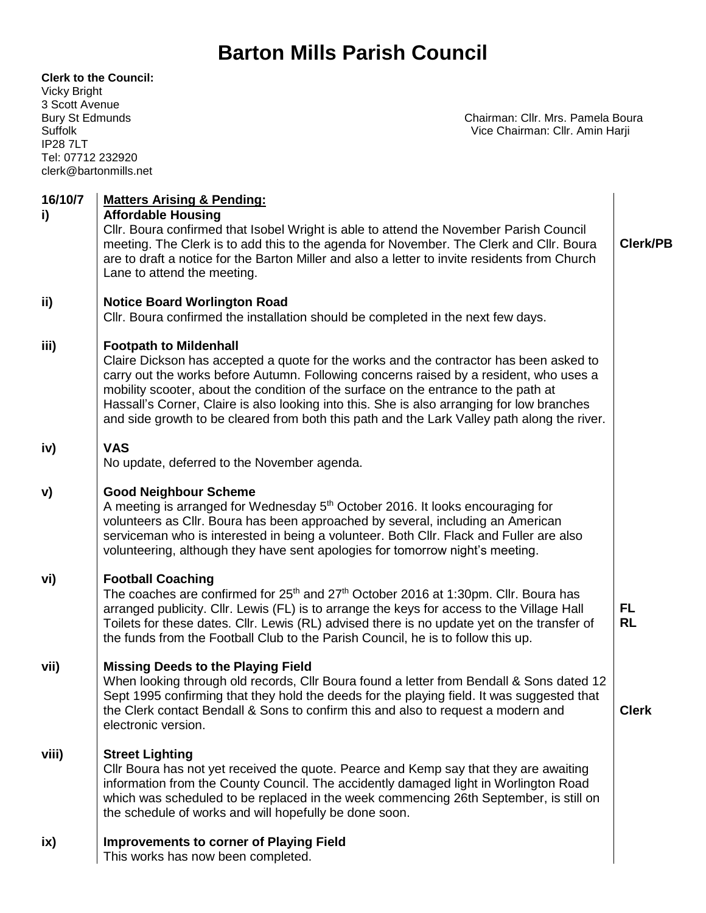| <b>Clerk to the Council:</b><br><b>Vicky Bright</b><br>3 Scott Avenue<br><b>Bury St Edmunds</b><br>Suffolk<br><b>IP287LT</b><br>Tel: 07712 232920<br>clerk@bartonmills.net | Chairman: Cllr. Mrs. Pamela Boura<br>Vice Chairman: Cllr. Amin Harji                                                                                                                                                                                                                                                                                                                                                                                                                                  |                        |
|----------------------------------------------------------------------------------------------------------------------------------------------------------------------------|-------------------------------------------------------------------------------------------------------------------------------------------------------------------------------------------------------------------------------------------------------------------------------------------------------------------------------------------------------------------------------------------------------------------------------------------------------------------------------------------------------|------------------------|
| 16/10/7<br>i)                                                                                                                                                              | <b>Matters Arising &amp; Pending:</b><br><b>Affordable Housing</b><br>Cllr. Boura confirmed that Isobel Wright is able to attend the November Parish Council<br>meeting. The Clerk is to add this to the agenda for November. The Clerk and Cllr. Boura<br>are to draft a notice for the Barton Miller and also a letter to invite residents from Church<br>Lane to attend the meeting.                                                                                                               | <b>Clerk/PB</b>        |
| ii)                                                                                                                                                                        | <b>Notice Board Worlington Road</b><br>CIIr. Boura confirmed the installation should be completed in the next few days.                                                                                                                                                                                                                                                                                                                                                                               |                        |
| iii)                                                                                                                                                                       | <b>Footpath to Mildenhall</b><br>Claire Dickson has accepted a quote for the works and the contractor has been asked to<br>carry out the works before Autumn. Following concerns raised by a resident, who uses a<br>mobility scooter, about the condition of the surface on the entrance to the path at<br>Hassall's Corner, Claire is also looking into this. She is also arranging for low branches<br>and side growth to be cleared from both this path and the Lark Valley path along the river. |                        |
| iv)                                                                                                                                                                        | <b>VAS</b><br>No update, deferred to the November agenda.                                                                                                                                                                                                                                                                                                                                                                                                                                             |                        |
| V)                                                                                                                                                                         | <b>Good Neighbour Scheme</b><br>A meeting is arranged for Wednesday 5 <sup>th</sup> October 2016. It looks encouraging for<br>volunteers as Cllr. Boura has been approached by several, including an American<br>serviceman who is interested in being a volunteer. Both Cllr. Flack and Fuller are also<br>volunteering, although they have sent apologies for tomorrow night's meeting.                                                                                                             |                        |
| vi)                                                                                                                                                                        | <b>Football Coaching</b><br>The coaches are confirmed for 25 <sup>th</sup> and 27 <sup>th</sup> October 2016 at 1:30pm. Cllr. Boura has<br>arranged publicity. Cllr. Lewis (FL) is to arrange the keys for access to the Village Hall<br>Toilets for these dates. Cllr. Lewis (RL) advised there is no update yet on the transfer of<br>the funds from the Football Club to the Parish Council, he is to follow this up.                                                                              | <b>FL</b><br><b>RL</b> |
| vii)                                                                                                                                                                       | <b>Missing Deeds to the Playing Field</b><br>When looking through old records, Cllr Boura found a letter from Bendall & Sons dated 12<br>Sept 1995 confirming that they hold the deeds for the playing field. It was suggested that<br>the Clerk contact Bendall & Sons to confirm this and also to request a modern and<br>electronic version.                                                                                                                                                       | <b>Clerk</b>           |
| viii)                                                                                                                                                                      | <b>Street Lighting</b><br>CIIr Boura has not yet received the quote. Pearce and Kemp say that they are awaiting<br>information from the County Council. The accidently damaged light in Worlington Road<br>which was scheduled to be replaced in the week commencing 26th September, is still on<br>the schedule of works and will hopefully be done soon.                                                                                                                                            |                        |
| ix)                                                                                                                                                                        | <b>Improvements to corner of Playing Field</b><br>This works has now been completed.                                                                                                                                                                                                                                                                                                                                                                                                                  |                        |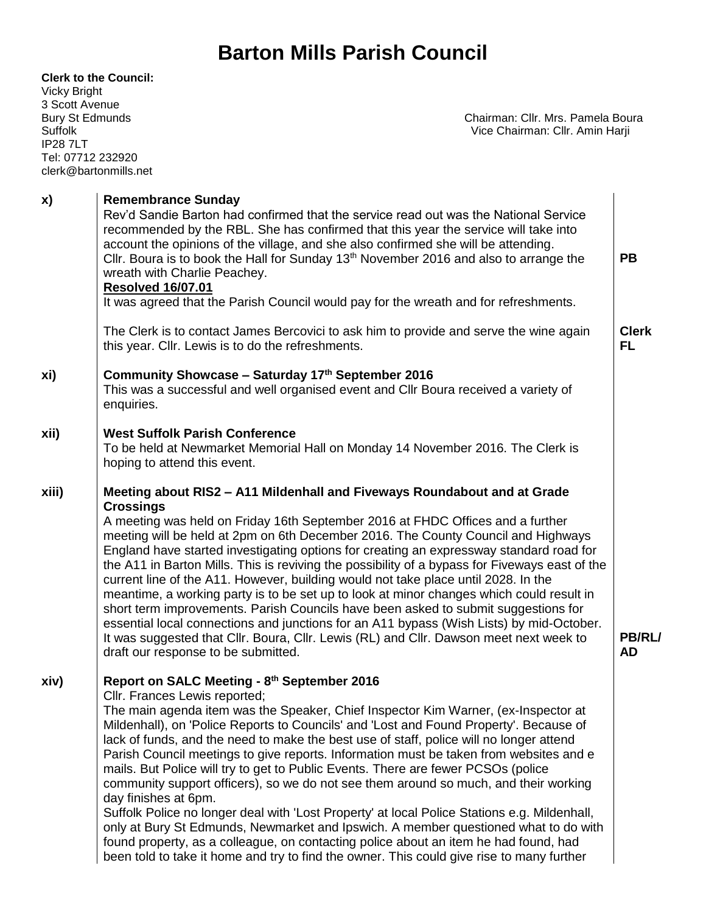| <b>Vicky Bright</b><br>3 Scott Avenue<br><b>Bury St Edmunds</b><br><b>Suffolk</b><br><b>IP287LT</b><br>Tel: 07712 232920 | <b>Clerk to the Council:</b><br>Chairman: Cllr. Mrs. Pamela Boura<br>Vice Chairman: Cllr. Amin Harji<br>clerk@bartonmills.net                                                                                                                                                                                                                                                                                                                                                                                                                                                                                                                                                                                                                                                                                                                                                                                                                                                                                                      |                            |
|--------------------------------------------------------------------------------------------------------------------------|------------------------------------------------------------------------------------------------------------------------------------------------------------------------------------------------------------------------------------------------------------------------------------------------------------------------------------------------------------------------------------------------------------------------------------------------------------------------------------------------------------------------------------------------------------------------------------------------------------------------------------------------------------------------------------------------------------------------------------------------------------------------------------------------------------------------------------------------------------------------------------------------------------------------------------------------------------------------------------------------------------------------------------|----------------------------|
| x)                                                                                                                       | <b>Remembrance Sunday</b><br>Rev'd Sandie Barton had confirmed that the service read out was the National Service<br>recommended by the RBL. She has confirmed that this year the service will take into<br>account the opinions of the village, and she also confirmed she will be attending.<br>Cllr. Boura is to book the Hall for Sunday 13 <sup>th</sup> November 2016 and also to arrange the<br>wreath with Charlie Peachey.<br><b>Resolved 16/07.01</b><br>It was agreed that the Parish Council would pay for the wreath and for refreshments.                                                                                                                                                                                                                                                                                                                                                                                                                                                                            | <b>PB</b>                  |
|                                                                                                                          | The Clerk is to contact James Bercovici to ask him to provide and serve the wine again<br>this year. Cllr. Lewis is to do the refreshments.                                                                                                                                                                                                                                                                                                                                                                                                                                                                                                                                                                                                                                                                                                                                                                                                                                                                                        | <b>Clerk</b><br><b>FL</b>  |
| xi)                                                                                                                      | Community Showcase - Saturday 17th September 2016<br>This was a successful and well organised event and CIIr Boura received a variety of<br>enquiries.                                                                                                                                                                                                                                                                                                                                                                                                                                                                                                                                                                                                                                                                                                                                                                                                                                                                             |                            |
| xii)                                                                                                                     | <b>West Suffolk Parish Conference</b><br>To be held at Newmarket Memorial Hall on Monday 14 November 2016. The Clerk is<br>hoping to attend this event.                                                                                                                                                                                                                                                                                                                                                                                                                                                                                                                                                                                                                                                                                                                                                                                                                                                                            |                            |
| xiii)                                                                                                                    | Meeting about RIS2 - A11 Mildenhall and Fiveways Roundabout and at Grade<br><b>Crossings</b><br>A meeting was held on Friday 16th September 2016 at FHDC Offices and a further<br>meeting will be held at 2pm on 6th December 2016. The County Council and Highways<br>England have started investigating options for creating an expressway standard road for<br>the A11 in Barton Mills. This is reviving the possibility of a bypass for Fiveways east of the<br>current line of the A11. However, building would not take place until 2028. In the<br>meantime, a working party is to be set up to look at minor changes which could result in<br>short term improvements. Parish Councils have been asked to submit suggestions for<br>essential local connections and junctions for an A11 bypass (Wish Lists) by mid-October.<br>It was suggested that Cllr. Boura, Cllr. Lewis (RL) and Cllr. Dawson meet next week to<br>draft our response to be submitted.                                                              | <b>PB/RL/</b><br><b>AD</b> |
| xiv)                                                                                                                     | Report on SALC Meeting - 8th September 2016<br>Cllr. Frances Lewis reported;<br>The main agenda item was the Speaker, Chief Inspector Kim Warner, (ex-Inspector at<br>Mildenhall), on 'Police Reports to Councils' and 'Lost and Found Property'. Because of<br>lack of funds, and the need to make the best use of staff, police will no longer attend<br>Parish Council meetings to give reports. Information must be taken from websites and e<br>mails. But Police will try to get to Public Events. There are fewer PCSOs (police<br>community support officers), so we do not see them around so much, and their working<br>day finishes at 6pm.<br>Suffolk Police no longer deal with 'Lost Property' at local Police Stations e.g. Mildenhall,<br>only at Bury St Edmunds, Newmarket and Ipswich. A member questioned what to do with<br>found property, as a colleague, on contacting police about an item he had found, had<br>been told to take it home and try to find the owner. This could give rise to many further |                            |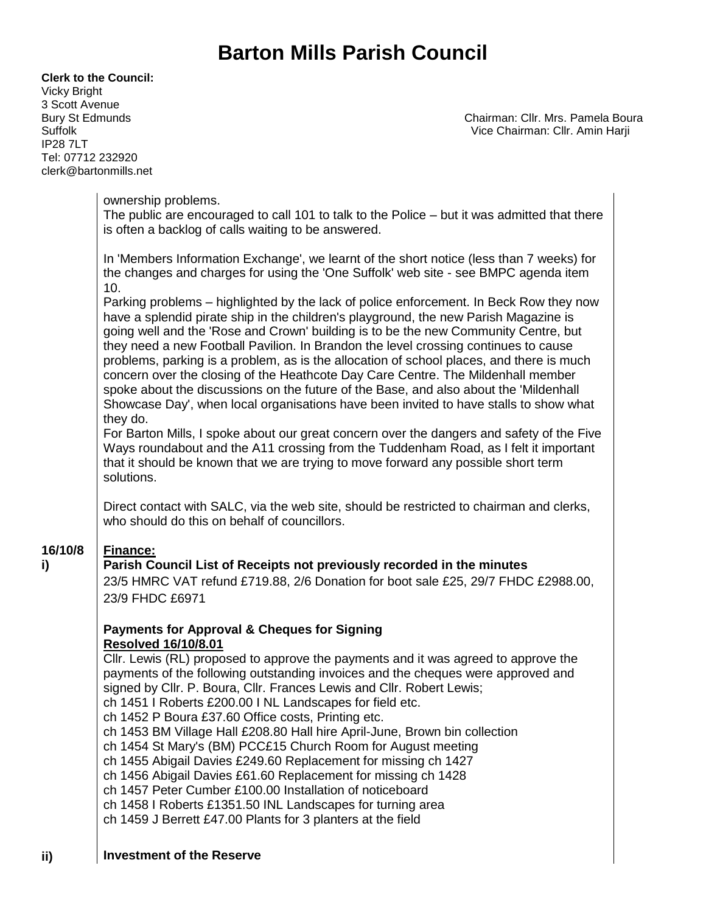| <b>Vicky Bright</b><br>3 Scott Avenue<br><b>Bury St Edmunds</b><br>Suffolk<br>IP287LT<br>Tel: 07712 232920 | clerk@bartonmills.net                                                                                                                                                                                                                                                                                                                                                                                                                                                                                                                                                                                                                                                                                                                                                                                                                                                                                                                                                                                                                                                                                                                                                                                                                                                                                                                                                                                                                                                                                                                                                                                                                                                                                                                                                                                                                                                                                                                                                                                                                                                                                                                                                                                                                                                                                                                                                                                                                                                                                                 | Chairman: Cllr. Mrs. Pamela Boura<br>Vice Chairman: Cllr. Amin Harji |
|------------------------------------------------------------------------------------------------------------|-----------------------------------------------------------------------------------------------------------------------------------------------------------------------------------------------------------------------------------------------------------------------------------------------------------------------------------------------------------------------------------------------------------------------------------------------------------------------------------------------------------------------------------------------------------------------------------------------------------------------------------------------------------------------------------------------------------------------------------------------------------------------------------------------------------------------------------------------------------------------------------------------------------------------------------------------------------------------------------------------------------------------------------------------------------------------------------------------------------------------------------------------------------------------------------------------------------------------------------------------------------------------------------------------------------------------------------------------------------------------------------------------------------------------------------------------------------------------------------------------------------------------------------------------------------------------------------------------------------------------------------------------------------------------------------------------------------------------------------------------------------------------------------------------------------------------------------------------------------------------------------------------------------------------------------------------------------------------------------------------------------------------------------------------------------------------------------------------------------------------------------------------------------------------------------------------------------------------------------------------------------------------------------------------------------------------------------------------------------------------------------------------------------------------------------------------------------------------------------------------------------------------|----------------------------------------------------------------------|
|                                                                                                            | ownership problems.<br>The public are encouraged to call 101 to talk to the Police – but it was admitted that there<br>is often a backlog of calls waiting to be answered.                                                                                                                                                                                                                                                                                                                                                                                                                                                                                                                                                                                                                                                                                                                                                                                                                                                                                                                                                                                                                                                                                                                                                                                                                                                                                                                                                                                                                                                                                                                                                                                                                                                                                                                                                                                                                                                                                                                                                                                                                                                                                                                                                                                                                                                                                                                                            |                                                                      |
| 16/10/8<br>i)                                                                                              | In 'Members Information Exchange', we learnt of the short notice (less than 7 weeks) for<br>the changes and charges for using the 'One Suffolk' web site - see BMPC agenda item<br>10.<br>Parking problems – highlighted by the lack of police enforcement. In Beck Row they now<br>have a splendid pirate ship in the children's playground, the new Parish Magazine is<br>going well and the 'Rose and Crown' building is to be the new Community Centre, but<br>they need a new Football Pavilion. In Brandon the level crossing continues to cause<br>problems, parking is a problem, as is the allocation of school places, and there is much<br>concern over the closing of the Heathcote Day Care Centre. The Mildenhall member<br>spoke about the discussions on the future of the Base, and also about the 'Mildenhall<br>Showcase Day', when local organisations have been invited to have stalls to show what<br>they do.<br>For Barton Mills, I spoke about our great concern over the dangers and safety of the Five<br>Ways roundabout and the A11 crossing from the Tuddenham Road, as I felt it important<br>that it should be known that we are trying to move forward any possible short term<br>solutions.<br>Direct contact with SALC, via the web site, should be restricted to chairman and clerks,<br>who should do this on behalf of councillors.<br><b>Finance:</b><br>Parish Council List of Receipts not previously recorded in the minutes<br>23/5 HMRC VAT refund £719.88, 2/6 Donation for boot sale £25, 29/7 FHDC £2988.00,<br>23/9 FHDC £6971<br><b>Payments for Approval &amp; Cheques for Signing</b><br><b>Resolved 16/10/8.01</b><br>CIIr. Lewis (RL) proposed to approve the payments and it was agreed to approve the<br>payments of the following outstanding invoices and the cheques were approved and<br>signed by Cllr. P. Boura, Cllr. Frances Lewis and Cllr. Robert Lewis;<br>ch 1451   Roberts £200.00   NL Landscapes for field etc.<br>ch 1452 P Boura £37.60 Office costs, Printing etc.<br>ch 1453 BM Village Hall £208.80 Hall hire April-June, Brown bin collection<br>ch 1454 St Mary's (BM) PCC£15 Church Room for August meeting<br>ch 1455 Abigail Davies £249.60 Replacement for missing ch 1427<br>ch 1456 Abigail Davies £61.60 Replacement for missing ch 1428<br>ch 1457 Peter Cumber £100.00 Installation of noticeboard<br>ch 1458 I Roberts £1351.50 INL Landscapes for turning area<br>ch 1459 J Berrett £47.00 Plants for 3 planters at the field |                                                                      |

**ii)**

**Clerk to the Council:**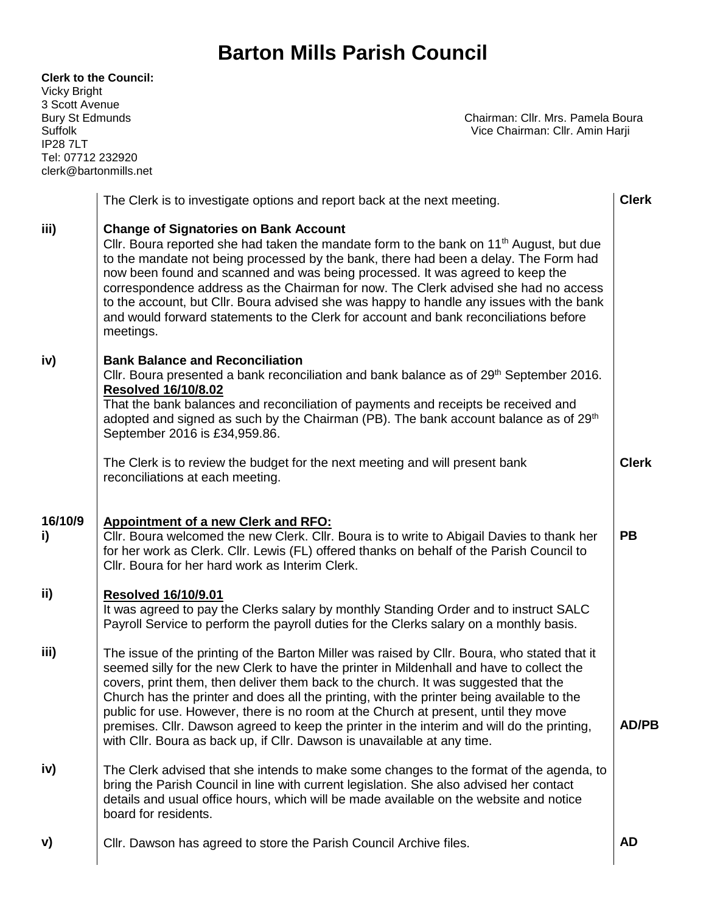| <b>Clerk to the Council:</b><br><b>Vicky Bright</b><br>3 Scott Avenue<br><b>Bury St Edmunds</b><br>Suffolk<br><b>IP287LT</b><br>Tel: 07712 232920<br>clerk@bartonmills.net |                                                                                                                                                                                                                                                                                                                                                                                                                                                                                                                                                                                                                                               | Chairman: Cllr. Mrs. Pamela Boura<br>Vice Chairman: Cllr. Amin Harji |              |
|----------------------------------------------------------------------------------------------------------------------------------------------------------------------------|-----------------------------------------------------------------------------------------------------------------------------------------------------------------------------------------------------------------------------------------------------------------------------------------------------------------------------------------------------------------------------------------------------------------------------------------------------------------------------------------------------------------------------------------------------------------------------------------------------------------------------------------------|----------------------------------------------------------------------|--------------|
|                                                                                                                                                                            | The Clerk is to investigate options and report back at the next meeting.                                                                                                                                                                                                                                                                                                                                                                                                                                                                                                                                                                      |                                                                      | <b>Clerk</b> |
| iii)                                                                                                                                                                       | <b>Change of Signatories on Bank Account</b><br>Cllr. Boura reported she had taken the mandate form to the bank on 11 <sup>th</sup> August, but due<br>to the mandate not being processed by the bank, there had been a delay. The Form had<br>now been found and scanned and was being processed. It was agreed to keep the<br>correspondence address as the Chairman for now. The Clerk advised she had no access<br>to the account, but Cllr. Boura advised she was happy to handle any issues with the bank<br>and would forward statements to the Clerk for account and bank reconciliations before<br>meetings.                         |                                                                      |              |
| iv)                                                                                                                                                                        | <b>Bank Balance and Reconciliation</b><br>CIIr. Boura presented a bank reconciliation and bank balance as of 29 <sup>th</sup> September 2016.<br><b>Resolved 16/10/8.02</b><br>That the bank balances and reconciliation of payments and receipts be received and<br>adopted and signed as such by the Chairman (PB). The bank account balance as of 29th<br>September 2016 is £34,959.86.<br>The Clerk is to review the budget for the next meeting and will present bank                                                                                                                                                                    |                                                                      | <b>Clerk</b> |
|                                                                                                                                                                            | reconciliations at each meeting.                                                                                                                                                                                                                                                                                                                                                                                                                                                                                                                                                                                                              |                                                                      |              |
| 16/10/9<br>i)                                                                                                                                                              | <b>Appointment of a new Clerk and RFO:</b><br>Cllr. Boura welcomed the new Clerk. Cllr. Boura is to write to Abigail Davies to thank her<br>for her work as Clerk. Cllr. Lewis (FL) offered thanks on behalf of the Parish Council to<br>Cllr. Boura for her hard work as Interim Clerk.                                                                                                                                                                                                                                                                                                                                                      |                                                                      | <b>PB</b>    |
| ii)                                                                                                                                                                        | <b>Resolved 16/10/9.01</b><br>It was agreed to pay the Clerks salary by monthly Standing Order and to instruct SALC<br>Payroll Service to perform the payroll duties for the Clerks salary on a monthly basis.                                                                                                                                                                                                                                                                                                                                                                                                                                |                                                                      |              |
| iii)                                                                                                                                                                       | The issue of the printing of the Barton Miller was raised by Cllr. Boura, who stated that it<br>seemed silly for the new Clerk to have the printer in Mildenhall and have to collect the<br>covers, print them, then deliver them back to the church. It was suggested that the<br>Church has the printer and does all the printing, with the printer being available to the<br>public for use. However, there is no room at the Church at present, until they move<br>premises. Cllr. Dawson agreed to keep the printer in the interim and will do the printing,<br>with Cllr. Boura as back up, if Cllr. Dawson is unavailable at any time. |                                                                      | <b>AD/PB</b> |
| iv)                                                                                                                                                                        | The Clerk advised that she intends to make some changes to the format of the agenda, to<br>bring the Parish Council in line with current legislation. She also advised her contact<br>details and usual office hours, which will be made available on the website and notice<br>board for residents.                                                                                                                                                                                                                                                                                                                                          |                                                                      |              |
| V)                                                                                                                                                                         | Cllr. Dawson has agreed to store the Parish Council Archive files.                                                                                                                                                                                                                                                                                                                                                                                                                                                                                                                                                                            |                                                                      | <b>AD</b>    |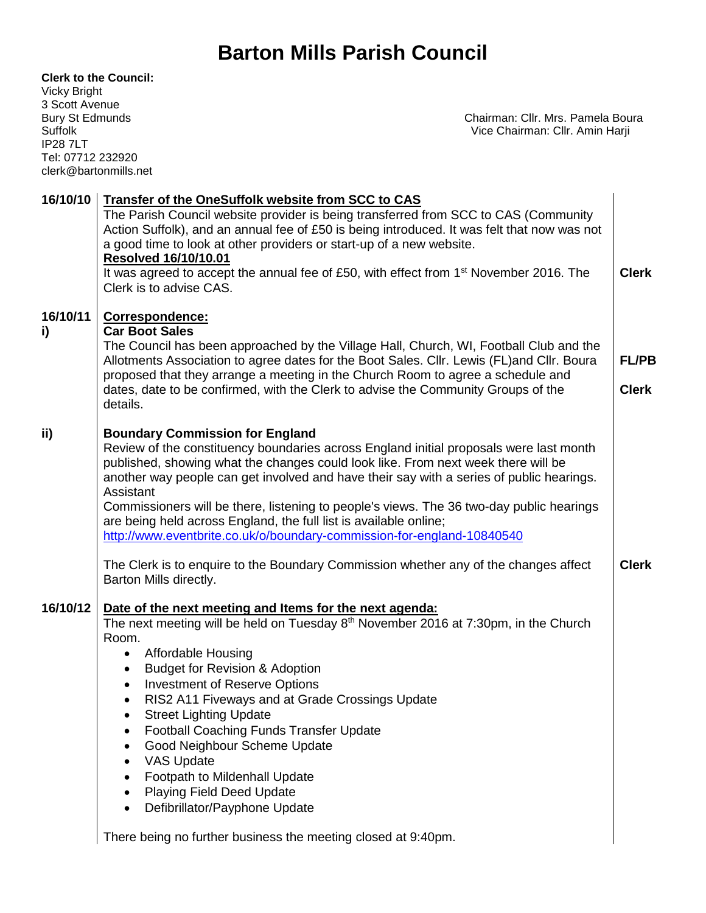#### **Clerk to the Council:**

Vicky Bright 3 Scott Avenue IP28 7LT Tel: 07712 232920 clerk@bartonmills.net

Bury St Edmunds **Chairman: Cllr. Mrs. Pamela Boura**<br>
Suffolk Chairman: Cllr. Amin Harji Vice Chairman: Cllr. Amin Harji

| <b>Transfer of the OneSuffolk website from SCC to CAS</b><br>The Parish Council website provider is being transferred from SCC to CAS (Community                                                                                                                                                                                                                                                                                                                                                                                                                                                                                                                                            |                              |
|---------------------------------------------------------------------------------------------------------------------------------------------------------------------------------------------------------------------------------------------------------------------------------------------------------------------------------------------------------------------------------------------------------------------------------------------------------------------------------------------------------------------------------------------------------------------------------------------------------------------------------------------------------------------------------------------|------------------------------|
| Action Suffolk), and an annual fee of £50 is being introduced. It was felt that now was not<br>a good time to look at other providers or start-up of a new website.<br><b>Resolved 16/10/10.01</b><br>It was agreed to accept the annual fee of £50, with effect from 1 <sup>st</sup> November 2016. The<br>Clerk is to advise CAS.                                                                                                                                                                                                                                                                                                                                                         | <b>Clerk</b>                 |
| Correspondence:<br><b>Car Boot Sales</b><br>The Council has been approached by the Village Hall, Church, WI, Football Club and the<br>Allotments Association to agree dates for the Boot Sales. Cllr. Lewis (FL)and Cllr. Boura<br>proposed that they arrange a meeting in the Church Room to agree a schedule and<br>dates, date to be confirmed, with the Clerk to advise the Community Groups of the<br>details.                                                                                                                                                                                                                                                                         | <b>FL/PB</b><br><b>Clerk</b> |
| <b>Boundary Commission for England</b><br>Review of the constituency boundaries across England initial proposals were last month<br>published, showing what the changes could look like. From next week there will be<br>another way people can get involved and have their say with a series of public hearings.<br>Assistant<br>Commissioners will be there, listening to people's views. The 36 two-day public hearings<br>are being held across England, the full list is available online;<br>http://www.eventbrite.co.uk/o/boundary-commission-for-england-10840540<br>The Clerk is to enquire to the Boundary Commission whether any of the changes affect<br>Barton Mills directly. | <b>Clerk</b>                 |
| Date of the next meeting and Items for the next agenda:<br>The next meeting will be held on Tuesday 8 <sup>th</sup> November 2016 at 7:30pm, in the Church<br>Room.<br><b>Affordable Housing</b><br>$\bullet$<br><b>Budget for Revision &amp; Adoption</b><br><b>Investment of Reserve Options</b><br>RIS2 A11 Fiveways and at Grade Crossings Update<br>٠<br><b>Street Lighting Update</b><br><b>Football Coaching Funds Transfer Update</b><br>Good Neighbour Scheme Update<br><b>VAS Update</b><br>Footpath to Mildenhall Update<br><b>Playing Field Deed Update</b><br>Defibrillator/Payphone Update<br>There being no further business the meeting closed at 9:40pm.                   |                              |
|                                                                                                                                                                                                                                                                                                                                                                                                                                                                                                                                                                                                                                                                                             |                              |